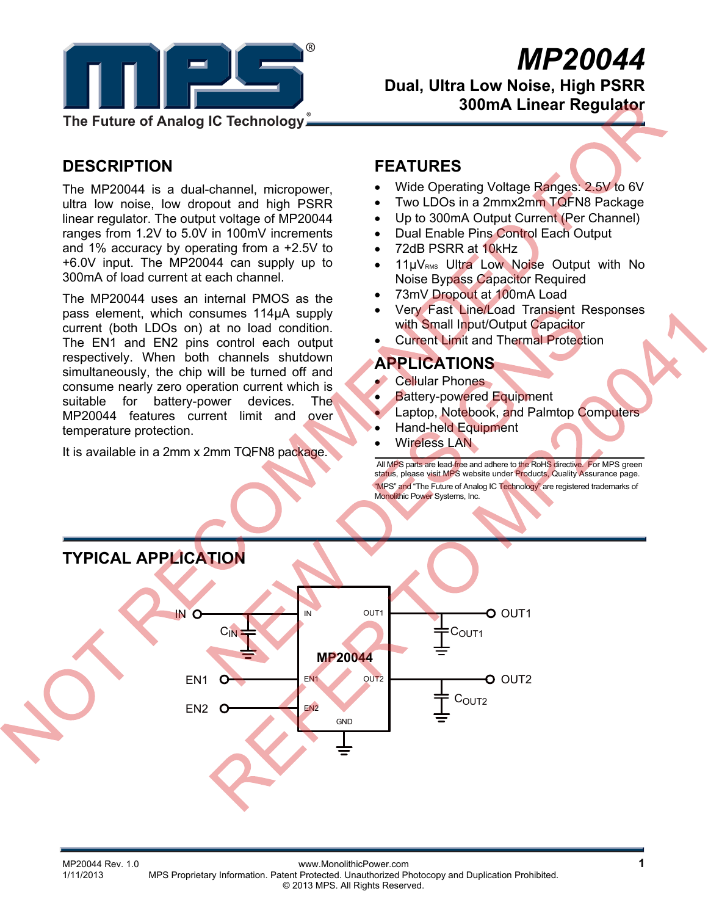

# *MP20044*

 **Dual, Ultra Low Noise, High PSRR 300mA Linear Regulator** 

## **DESCRIPTION**

The MP20044 is a dual-channel, micropower, ultra low noise, low dropout and high PSRR linear regulator. The output voltage of MP20044 ranges from 1.2V to 5.0V in 100mV increments and 1% accuracy by operating from a +2.5V to +6.0V input. The MP20044 can supply up to 300mA of load current at each channel.

The MP20044 uses an internal PMOS as the pass element, which consumes 114μA supply current (both LDOs on) at no load condition. The EN1 and EN2 pins control each output respectively. When both channels shutdown simultaneously, the chip will be turned off and consume nearly zero operation current which is suitable for battery-power devices. The MP20044 features current limit and over temperature protection.

It is available in a 2mm x 2mm TQFN8 package.

#### **FEATURES**

- Wide Operating Voltage Ranges: 2.5V to 6V
- Two LDOs in a 2mmx2mm TQFN8 Package
- Up to 300mA Output Current (Per Channel)
- Dual Enable Pins Control Each Output
- 72dB PSRR at 10kHz
- 11µV<sub>RMS</sub> Ultra Low Noise Output with No Noise Bypass Capacitor Required
- 73mV Dropout at 100mA Load
- Very Fast Line/Load Transient Responses with Small Input/Output Capacitor
- Current Limit and Thermal Protection

#### **APPLICATIONS**

- Cellular Phones
- Battery-powered Equipment
- Laptop, Notebook, and Palmtop Computers
- Hand-held Equipment
- Wireless LAN

 All MPS parts are lead-free and adhere to the RoHS directive. For MPS green status, please visit MPS website under Products, Quality Assurance page. "MPS" and "The Future of Analog IC Technology" are registered trademarks of Monolithic Power Systems, Inc.

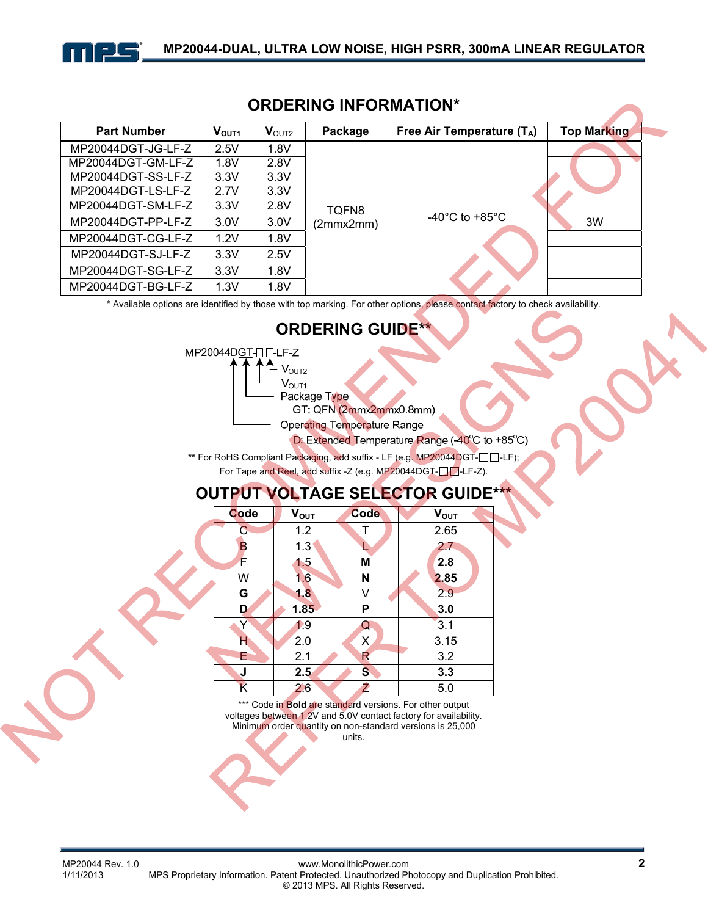

| ORDERING INFORMATION <sup>®</sup> |                   |                   |           |                                    |                    |
|-----------------------------------|-------------------|-------------------|-----------|------------------------------------|--------------------|
| <b>Part Number</b>                | V <sub>OUT1</sub> | $V_{\text{OUT2}}$ | Package   | Free Air Temperature $(T_A)$       | <b>Top Marking</b> |
| MP20044DGT-JG-LF-Z                | 2.5V              | 1.8V              |           |                                    |                    |
| MP20044DGT-GM-LF-Z                | 1.8V              | 2.8V              |           |                                    |                    |
| MP20044DGT-SS-LF-Z                | 3.3V              | 3.3V              |           |                                    |                    |
| MP20044DGT-LS-LF-Z                | 2.7V              | 3.3V              |           |                                    |                    |
| MP20044DGT-SM-LF-Z                | 3.3V              | 2.8V              | TOFN8     |                                    |                    |
| MP20044DGT-PP-LF-Z                | 3.0V              | 3.0V              | (2mmx2mm) | $-40^{\circ}$ C to $+85^{\circ}$ C | 3W                 |
| MP20044DGT-CG-LF-Z                | 1.2V              | 1.8V              |           |                                    |                    |
| MP20044DGT-SJ-LF-Z                | 3.3V              | 2.5V              |           |                                    |                    |
| MP20044DGT-SG-LF-Z                | 3.3V              | 1.8V              |           |                                    |                    |
| MP20044DGT-BG-LF-Z                | 1.3V              | 1.8V              |           |                                    |                    |

#### **ORDERING INFORMATION\***

\* Available options are identified by those with top marking. For other options, please contact factory to check availability.

## **ORDERING GUIDE\*\***



 $V<sub>OUT2</sub>$ 

 $V<sub>OUT1</sub>$ 

Package Type

GT: QFN (2mmx2mmx0.8mm)

**Operating Temperature Range** 

D: Extended Temperature Range (40°C to +85°C)

\*\* For RoHS Compliant Packaging, add suffix - LF (e.g. MP20044DGT- $\square \square$ -LF);

For Tape and Reel, add suffix -Z (e.g. MP20044DGT-DD-LF-Z).

## **OUTPUT VOLTAGE SELECTOR GUIDE\*\*\***

| Code                    | $V_{OUT}$ | Code         | $V_{OUT}$ |
|-------------------------|-----------|--------------|-----------|
| $\overline{\mathsf{C}}$ | 1.2       | Т            | 2.65      |
| B                       | 1.3       |              | 2.7       |
| F                       | 1.5       | M            | 2.8       |
| W                       | 1.6       | N            | 2.85      |
| G                       | 1.8       | v            | 2.9       |
| D                       | 1.85      | P            | 3.0       |
| Y                       | 1.9       | Q            | 3.1       |
| н                       | 2.0       | X            | 3.15      |
| E                       | 2.1       | R            | 3.2       |
| J                       | 2.5       | $\mathbf{s}$ | 3.3       |
| K                       | 2.6       | Ż            | 5.0       |

\*\*\* Code in **Bold are standard versions. For other output** voltages between 1.2V and 5.0V contact factory for availability. Minimum order quantity on non-standard versions is 25,000 units.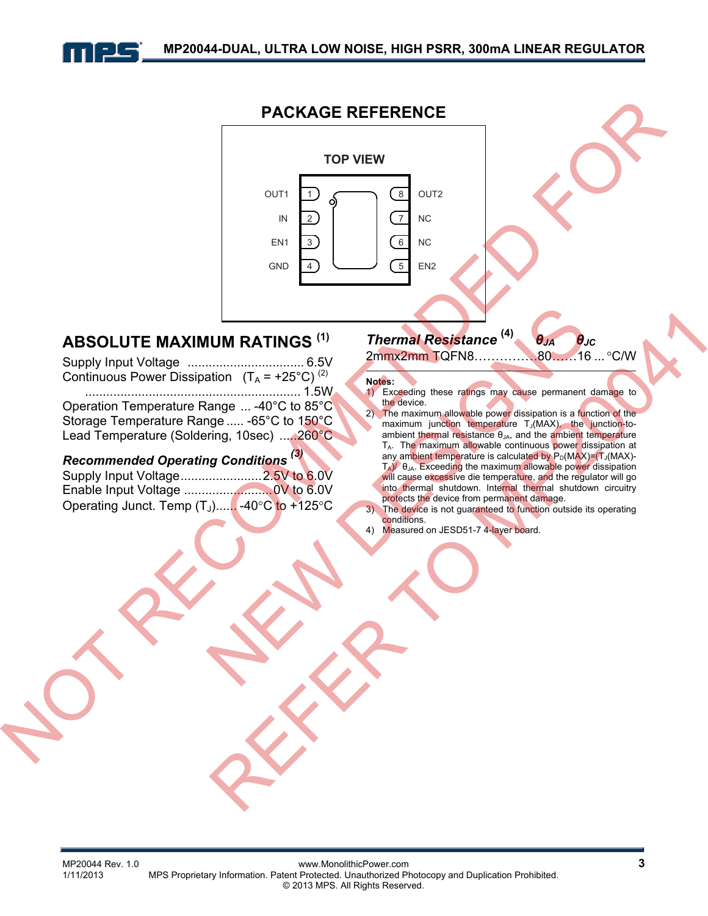



## **ABSOLUTE MAXIMUM RATINGS (1)**

Supply Input Voltage ................................. 6.5V Continuous Power Dissipation  $(T_A = +25^{\circ}C)^{(2)}$  ............................................................. 1.5W Operation Temperature Range ... -40°C to 85°C Storage Temperature Range ..... -65°C to 150°C Lead Temperature (Soldering, 10sec) .....260°C

## *Recommended Operating Conditions (3)*

| Operating Junct. Temp (T <sub>J</sub> ) -40°C to +125°C |  |
|---------------------------------------------------------|--|

## *Thermal Resistance* **(4)** *θJA θJC*

2mmx2mm TQFN8……………80……16 ... C/W

#### **Notes:**

- 1) Exceeding these ratings may cause permanent damage to the device.
- 2) The maximum allowable power dissipation is a function of the maximum junction temperature T<sub>J</sub>(MAX), the junction-toambient thermal resistance θ<sub>JA</sub>, and the ambient temperature TA. The maximum allowable continuous power dissipation at any ambient temperature is calculated by  $P_D(MAX)=(T_J(MAX)-T_J(MAX)-T_J(MAX))$  $T_A$ )/ $\theta_{JA}$ . Exceeding the maximum allowable power dissipation will cause excessive die temperature, and the regulator will go into thermal shutdown. Internal thermal shutdown circuitry protects the device from permanent damage.
- 3) The device is not guaranteed to function outside its operating conditions.
- 4) Measured on JESD51-7 4-layer board.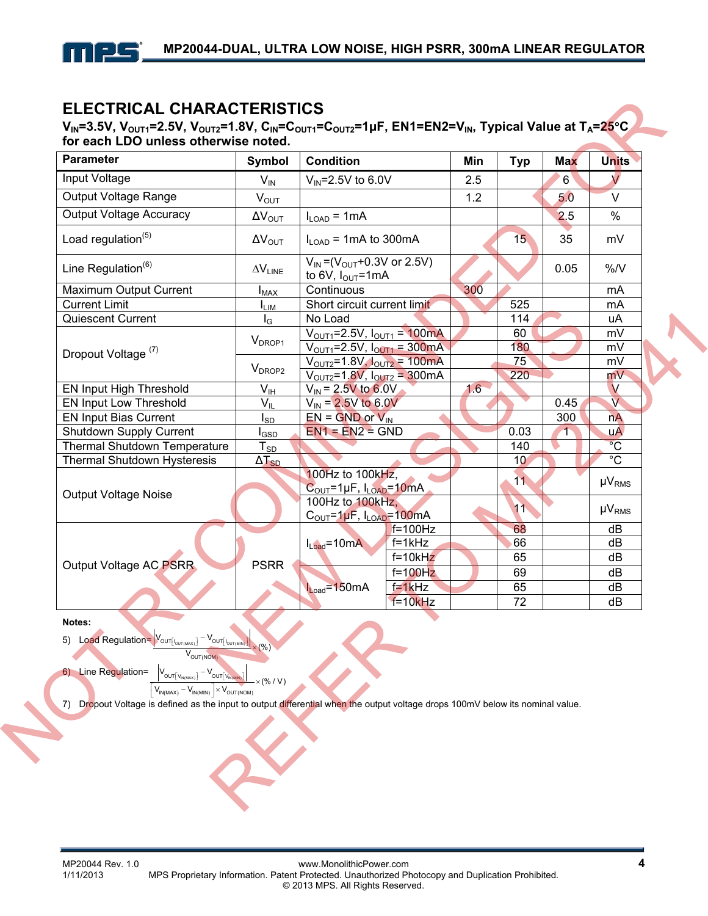

## **ELECTRICAL CHARACTERISTICS**

**V<sub>IN</sub>=3.5V, V<sub>OUT1</sub>=2.5V, V<sub>OUT2</sub>=1.8V, C<sub>IN</sub>=C<sub>OUT1</sub>=C<sub>OUT2</sub>=1μF, EN1=EN2=V<sub>IN</sub>, Typical Value at T<sub>A</sub>=25<sup>°</sup>C for each LDO unless otherwise noted.** 

| <b>Parameter</b>                   | <b>Symbol</b><br><b>Condition</b> |                                                                      | Min          | <b>Typ</b> | <b>Max</b>      | <b>Units</b> |                         |
|------------------------------------|-----------------------------------|----------------------------------------------------------------------|--------------|------------|-----------------|--------------|-------------------------|
| Input Voltage                      | $V_{\text{IN}}$                   | $V_{IN} = 2.5V$ to 6.0V                                              |              | 2.5        |                 | 6            | $\sqrt{}$               |
| Output Voltage Range               | $V_{OUT}$                         |                                                                      |              | 1.2        |                 | 5.0          | $\vee$                  |
| <b>Output Voltage Accuracy</b>     | $\Delta V_{\text{OUT}}$           | $I_{LOAD}$ = 1mA                                                     |              |            |                 | 2.5          | $\%$                    |
| Load regulation <sup>(5)</sup>     | $\Delta V_{\text{OUT}}$           | $I_{\text{LOAD}}$ = 1 mA to 300 mA                                   |              |            | 15              | 35           | mV                      |
| Line Regulation <sup>(6)</sup>     | $\Delta V_{\text{LINE}}$          | $V_{IN} = (V_{OUT} + 0.3V)$ or 2.5V)<br>to 6V, $I_{\text{OUT}}$ =1mA |              |            |                 | 0.05         | $\%N$                   |
| Maximum Output Current             | $I_{MAX}$                         | Continuous                                                           |              | 300        |                 |              | mA                      |
| <b>Current Limit</b>               | <b>LIM</b>                        | Short circuit current limit                                          |              |            | 525             |              | mA                      |
| Quiescent Current                  | $I_{\rm G}$                       | No Load                                                              |              |            | 114             |              | uA                      |
|                                    | V <sub>DROP1</sub>                | $V_{\text{OUT1}} = 2.5V, I_{\text{OUT1}} = 100 \text{mA}$            |              |            | 60              |              | mV                      |
| Dropout Voltage <sup>(7)</sup>     |                                   | $V_{\text{OUT1}} = 2.5V, I_{\text{OUT1}} = 300 \text{mA}$            |              |            | 180             |              | mV                      |
|                                    | V <sub>DROP2</sub>                | $V_{\text{OUT2}} = 1.8 V, I_{\text{OUT2}} = 100 \text{mA}$           |              |            | 75              |              | mV                      |
|                                    |                                   | $V_{\text{OUT2}} = 1.8V, I_{\text{OUT2}} = 300 \text{mA}$            |              |            | 220             |              | mV                      |
| EN Input High Threshold            | $\bar{V}_{I\underline{H}}$        | $V_{\text{IN}}$ = 2.5V to 6.0V                                       |              | 16         |                 |              | $\vee$                  |
| <b>EN Input Low Threshold</b>      | $\mathsf{V}_{\mathsf{IL}}$        | $V_{\text{IN}}$ = 2.5V to 6.0V                                       |              |            |                 | 0.45         | $\overline{\mathsf{v}}$ |
| <b>EN Input Bias Current</b>       | l <sub>SD</sub>                   | $EN = GND$ or $V_{IN}$                                               |              |            |                 | 300          | nA                      |
| <b>Shutdown Supply Current</b>     | $I_{\text{GSD}}$                  | $EN1 = EN2 = GND$                                                    |              |            | 0.03            |              | <b>uA</b>               |
| Thermal Shutdown Temperature       | $T_{S\underline{D}}$              |                                                                      |              |            | 140             |              | $\overline{C}$          |
| <b>Thermal Shutdown Hysteresis</b> | $\Delta T_{SD}$                   |                                                                      |              |            | 10 <sup>°</sup> |              | $\overline{C}$          |
|                                    |                                   | 100Hz to 100kHz,                                                     |              |            | 11              |              | $\mu V_{RMS}$           |
| <b>Output Voltage Noise</b>        |                                   | $C_{\text{OUT}} = 1 \mu F$ , $I_{\text{LOAD}} = 10 \text{mA}$        |              |            |                 |              |                         |
|                                    |                                   | 100Hz to 100kHz,                                                     |              |            | 11              |              | $\mu V_{RMS}$           |
|                                    |                                   | $COUT=1\mu F$ , $ILOAD=100mA$                                        |              |            |                 |              |                         |
|                                    | <b>PSRR</b>                       | $I_{Load} = 10mA$                                                    | $f = 100$ Hz |            | 68              |              | dB                      |
|                                    |                                   |                                                                      | $f=1kHz$     |            | 66              |              | dB                      |
| Output Voltage AC PSRR             |                                   |                                                                      | $f=10kHz$    |            | 65              |              | dB                      |
|                                    |                                   |                                                                      | $f=100$ Hz   |            | 69              |              | dB                      |
|                                    |                                   | $L_{\text{oad}} = 150 \text{mA}$                                     | $f=1kHz$     |            | 65              |              | dB                      |
|                                    |                                   |                                                                      | $f=10kHz$    |            | 72              |              | dB                      |

**Notes:** 

5) Load Regulation= $V_{\text{outflow}}$ <sup>-V</sup>  $V_{\text{OUT(NOM)}}$   $\times$  (%) OUT I<sub>OUT(MAX)</sub> OUT I<sub>OUT(MIN)</sub>  $\left[\mathsf{I}_{\mathsf{OUT}(\mathsf{MAX})}\right]$   $\mathsf{OUT}\left[\mathsf{I}_{\mathsf{OUT}(\mathsf{MIN})}\right]$  $\overline{a}$ 

.<br>ουτί ν

6) Line Regulation=

 $\left[ V_{IN(MAX)} - V_{IN(MIN)} \right] \times V_{OUT(NOM)}$  $\left[\mathsf{V}_{\mathsf{IN}(\mathsf{MAX})}\right] = \mathsf{V}_{\mathsf{OUT}}[\mathsf{V}_{\mathsf{IN}(\mathsf{MIN})}]$ (% / V)

×

7) Dropout Voltage is defined as the input to output differential when the output voltage drops 100mV below its nominal value.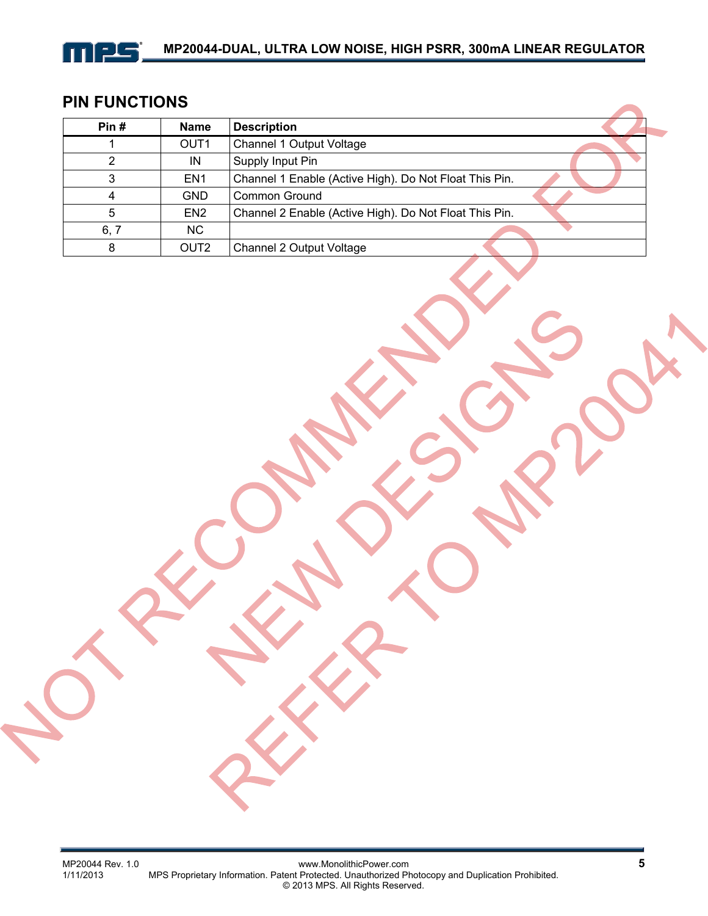

## **PIN FUNCTIONS**

| Pin# | <b>Name</b>      | <b>Description</b>                                     |
|------|------------------|--------------------------------------------------------|
|      | OUT <sub>1</sub> | Channel 1 Output Voltage                               |
|      | IN               | Supply Input Pin                                       |
|      | EN <sub>1</sub>  | Channel 1 Enable (Active High). Do Not Float This Pin. |
|      | <b>GND</b>       | Common Ground                                          |
| 5    | EN <sub>2</sub>  | Channel 2 Enable (Active High). Do Not Float This Pin. |
| 6, 7 | NC.              |                                                        |
| 8    | OUT <sub>2</sub> | Channel 2 Output Voltage                               |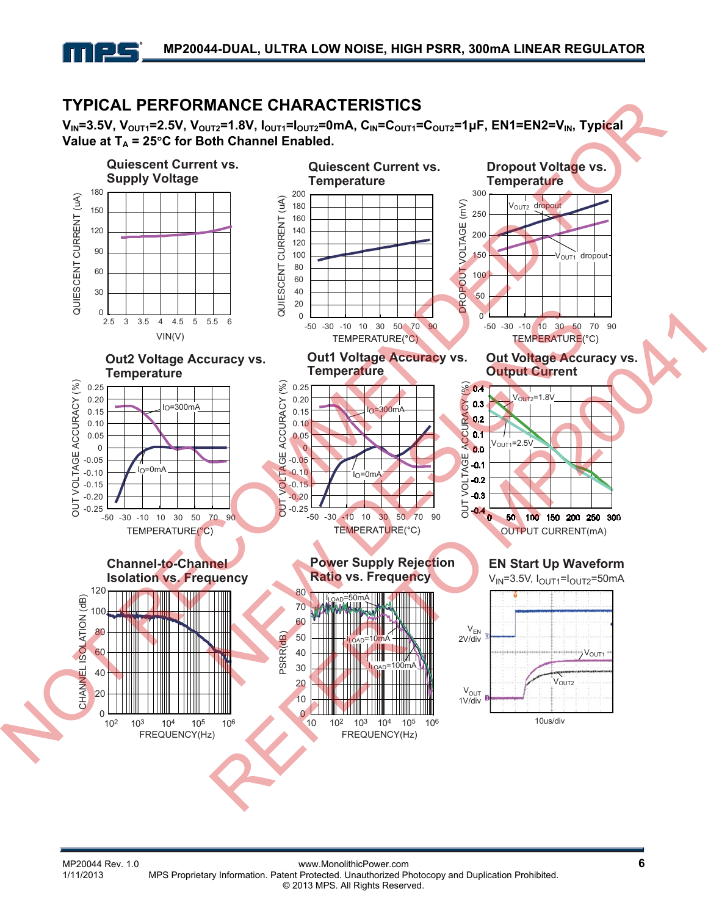## **TYPICAL PERFORMANCE CHARACTERISTICS**

2 G

**VIN=3.5V, VOUT1=2.5V, VOUT2=1.8V, IOUT1=IOUT2=0mA, CIN=COUT1=COUT2=1μF, EN1=EN2=VIN, Typical**  Value at  $T_A$  = 25°C for Both Channel Enabled.

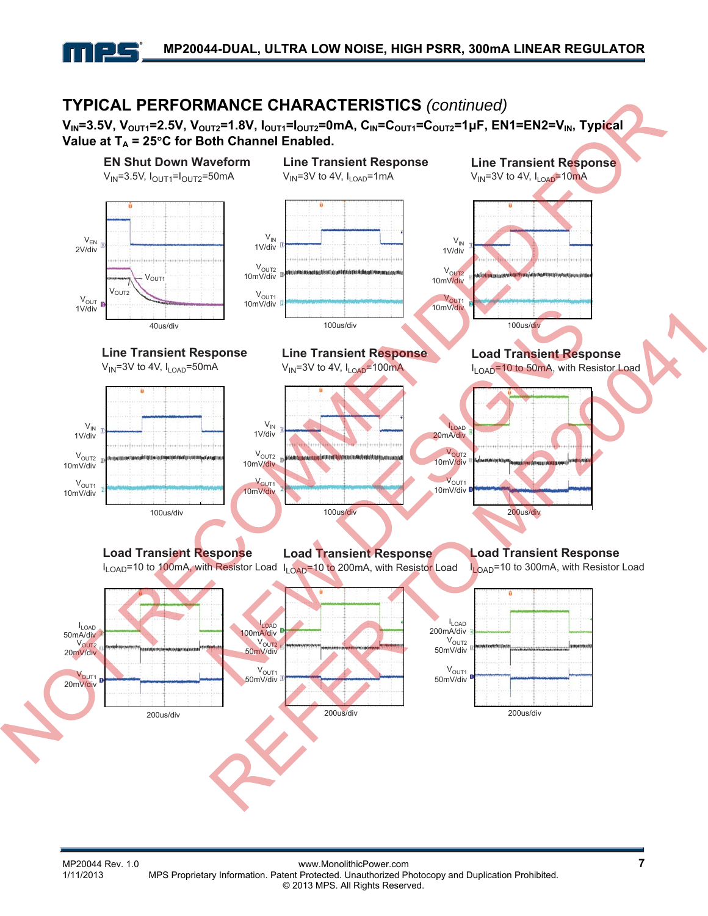

## **TYPICAL PERFORMANCE CHARACTERISTICS** *(continued)*

**V<sub>IN</sub>=3.5V, V<sub>OUT1</sub>=2.5V, V<sub>OUT2</sub>=1.8V, I<sub>OUT1</sub>=I<sub>OUT2</sub>=0mA, C<sub>IN</sub>=C<sub>OUT1</sub>=C<sub>OUT2</sub>=1μF, EN1=EN2=V<sub>IN</sub>, Typical** Value at  $T_A$  = 25°C for Both Channel Enabled.



MP20044 Rev. 1.0 www.MonolithicPower.com<br>1/11/2013 MPS Proprietary Information. Patent Protected. Unauthorized Photocopy and Duplication Prohibited. MPS Proprietary Information. Patent Protected. Unauthorized Photocopy and Duplication Prohibited. © 2013 MPS. All Rights Reserved.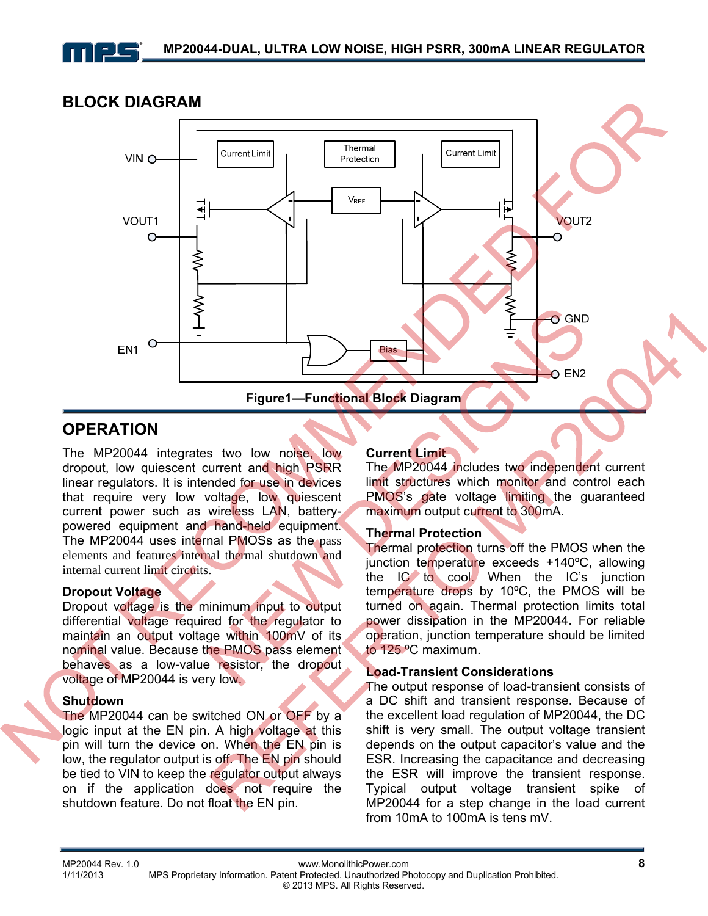

#### **BLOCK DIAGRAM**



### **OPERATION**

The MP20044 integrates two low noise, low dropout, low quiescent current and high PSRR linear regulators. It is intended for use in devices that require very low voltage, low quiescent current power such as wireless LAN, batterypowered equipment and hand-held equipment. The MP20044 uses internal PMOSs as the pass elements and features internal thermal shutdown and internal current limit circuits.

#### **Dropout Voltage**

Dropout voltage is the minimum input to output differential voltage required for the regulator to maintain an output voltage within 100mV of its nominal value. Because the PMOS pass element behaves as a low-value resistor, the dropout voltage of MP20044 is very low.

#### **Shutdown**

The MP20044 can be switched ON or OFF by a logic input at the EN pin. A high voltage at this pin will turn the device on. When the EN pin is low, the regulator output is off. The EN pin should be tied to VIN to keep the regulator output always on if the application does not require the shutdown feature. Do not float the EN pin.

#### **Current Limit**

The MP20044 includes two independent current limit structures which monitor and control each PMOS's gate voltage limiting the guaranteed maximum output current to 300mA.

#### **Thermal Protection**

Thermal protection turns off the PMOS when the junction temperature exceeds +140ºC, allowing the IC to cool. When the IC's junction temperature drops by 10ºC, the PMOS will be turned on again. Thermal protection limits total power dissipation in the MP20044. For reliable operation, junction temperature should be limited to 125 ºC maximum.

#### **Load-Transient Considerations**

The output response of load-transient consists of a DC shift and transient response. Because of the excellent load regulation of MP20044, the DC shift is very small. The output voltage transient depends on the output capacitor's value and the ESR. Increasing the capacitance and decreasing the ESR will improve the transient response. Typical output voltage transient spike of MP20044 for a step change in the load current from 10mA to 100mA is tens mV.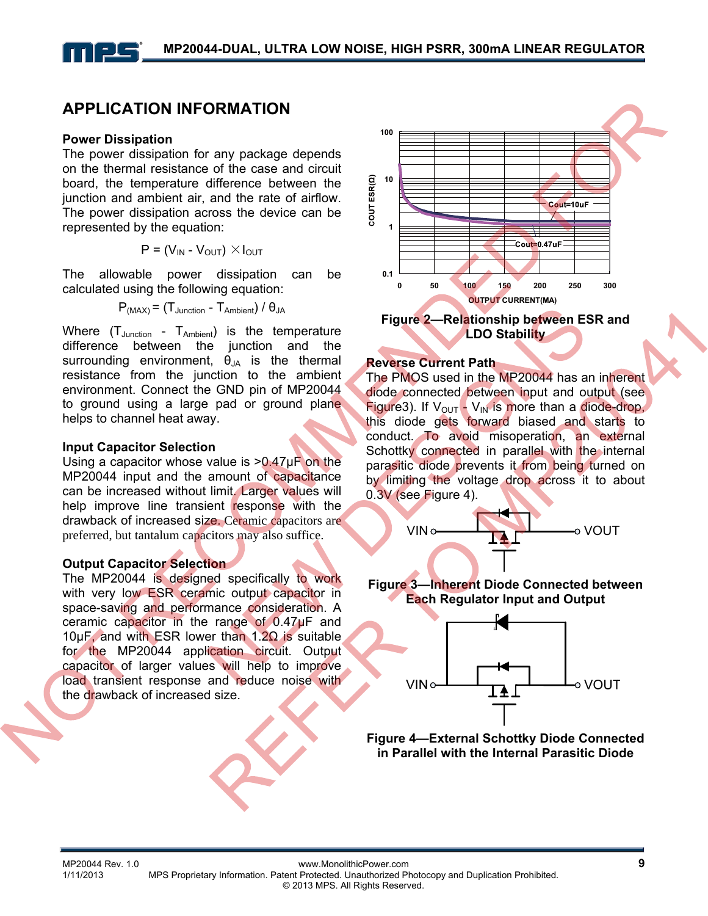## **APPLICATION INFORMATION**

#### **Power Dissipation**

The power dissipation for any package depends on the thermal resistance of the case and circuit board, the temperature difference between the junction and ambient air, and the rate of airflow. The power dissipation across the device can be represented by the equation:

$$
P = (V_{IN} - V_{OUT}) \times I_{OUT}
$$

The allowable power dissipation can be calculated using the following equation:

$$
P_{(MAX)} = (T_{Junction} - T_{Ambient}) / \theta_{JA}
$$

Where  $(T_{\text{Junction}} - T_{\text{Ambient}})$  is the temperature difference between the junction and the surrounding environment,  $\vec{\theta}_{JA}$  is the thermal resistance from the junction to the ambient environment. Connect the GND pin of MP20044 to ground using a large pad or ground plane helps to channel heat away.

#### **Input Capacitor Selection**

Using a capacitor whose value is >0.47µF on the MP20044 input and the amount of capacitance can be increased without limit. Larger values will help improve line transient response with the drawback of increased size. Ceramic capacitors are preferred, but tantalum capacitors may also suffice.

#### **Output Capacitor Selection**

The MP20044 is designed specifically to work with very low ESR ceramic output capacitor in space-saving and performance consideration. A ceramic capacitor in the range of 0.47µF and 10µF, and with ESR lower than 1.2Ω is suitable for the MP20044 application circuit. Output capacitor of larger values will help to improve load transient response and reduce noise with the drawback of increased size.





#### **Reverse Current Path**

The PMOS used in the MP20044 has an inherent diode connected between input and output (see Figure3). If  $V_{\text{OUT}} - V_{\text{IN}}$  is more than a diode-drop, this diode gets forward biased and starts to conduct. To avoid misoperation, an external Schottky connected in parallel with the internal parasitic diode prevents it from being turned on by limiting the voltage drop across it to about 0.3V (see Figure 4).



**Figure 3—Inherent Diode Connected between Each Regulator Input and Output** 



**Figure 4—External Schottky Diode Connected in Parallel with the Internal Parasitic Diode**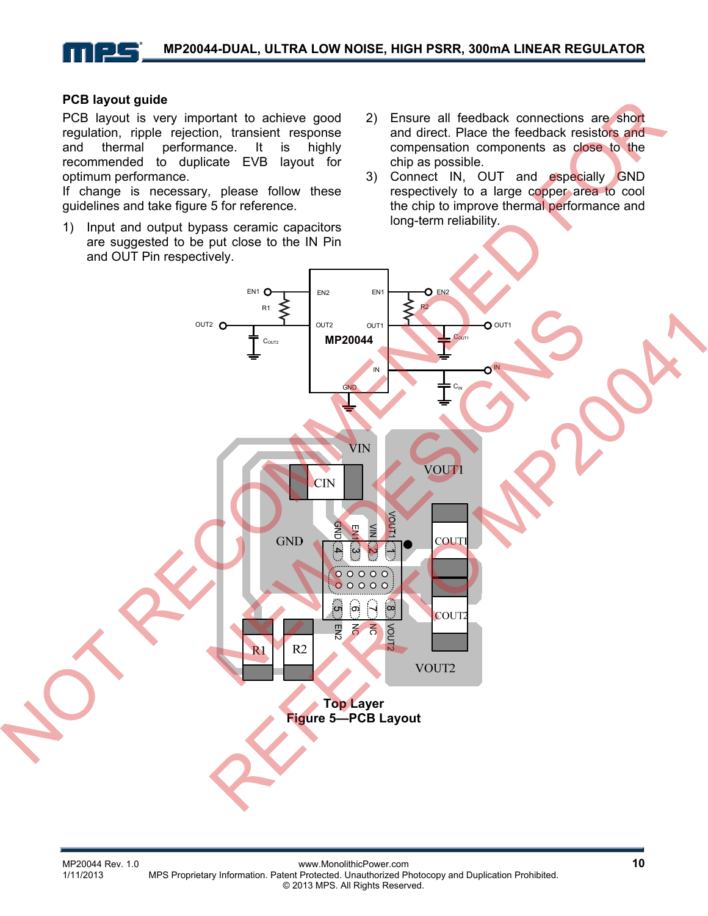#### **PCB layout guide**

PCB layout is very important to achieve good regulation, ripple rejection, transient response and thermal performance. It is highly recommended to duplicate EVB layout for optimum performance.

If change is necessary, please follow these guidelines and take figure 5 for reference.

- 1) Input and output bypass ceramic capacitors are suggested to be put close to the IN Pin and OUT Pin respectively.
- 2) Ensure all feedback connections are short and direct. Place the feedback resistors and compensation components as close to the chip as possible.
- 3) Connect IN, OUT and especially GND respectively to a large copper area to cool the chip to improve thermal performance and long-term reliability.